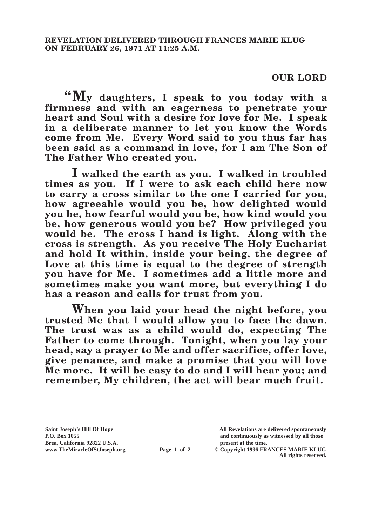## **OUR LORD**

**"My daughters, I speak to you today with a firmness and with an eagerness to penetrate your heart and Soul with a desire for love for Me. I speak in a deliberate manner to let you know the Words come from Me. Every Word said to you thus far has been said as a command in love, for I am The Son of The Father Who created you.**

**I walked the earth as you. I walked in troubled times as you. If I were to ask each child here now to carry a cross similar to the one I carried for you, how agreeable would you be, how delighted would you be, how fearful would you be, how kind would you be, how generous would you be? How privileged you would be. The cross I hand is light. Along with the cross is strength. As you receive The Holy Eucharist and hold It within, inside your being, the degree of**  Love at this time is equal to the degree of strength **you have for Me. I sometimes add a little more and sometimes make you want more, but everything I do has a reason and calls for trust from you.**

**When you laid your head the night before, you trusted Me that I would allow you to face the dawn. The trust was as a child would do, expecting The Father to come through. Tonight, when you lay your head, say a prayer to Me and offer sacrifice, offer love, give penance, and make a promise that you will love Me more. It will be easy to do and I will hear you; and remember, My children, the act will bear much fruit.**

**Brea, California 92822 U.S.A. present at the time.**<br> **Page 1 of 2** © Copyright 1996 FR.

**Saint Joseph's Hill Of Hope All Revelations are delivered spontaneously P.O. Box 1055 and continuously as witnessed by all those** 

**Page 1 of 2** © Copyright 1996 FRANCES MARIE KLUG **All rights reserved.**